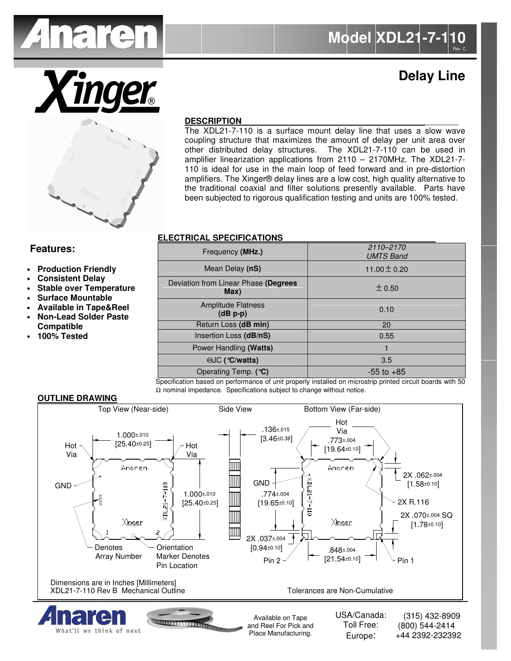

# **Delay Line**

# **DESCRIPTION** \_\_\_\_\_\_\_\_

The XDL21-7-110 is a surface mount delay line that uses a slow wave coupling structure that maximizes the amount of delay per unit area over other distributed delay structures. The XDL21-7-110 can be used in amplifier linearization applications from 2110 – 2170MHz. The XDL21-7- 110 is ideal for use in the main loop of feed forward and in pre-distortion amplifiers. The Xinger® delay lines are a low cost, high quality alternative to the traditional coaxial and filter solutions presently available. Parts have been subjected to rigorous qualification testing and units are 100% tested.

# **ELECTRICAL SPECIFICATIONS**

# **Features:**

- **Production Friendly**
- **Consistent Delay**
- **Stable over Temperature**
- **Surface Mountable**
- **Available in Tape&Reel**
- **Non-Lead Solder Paste Compatible**
- **100% Tested**

| Frequency (MHz.)                             | 2110-2170<br><b>UMTS Band</b> |
|----------------------------------------------|-------------------------------|
| Mean Delay (nS)                              | 11.00 $\pm$ 0.20              |
| Deviation from Linear Phase (Degrees<br>Max) | ± 0.50                        |
| <b>Amplitude Flatness</b><br>$(dB p-p)$      | 0.10                          |
| Return Loss (dB min)                         | 20                            |
| Insertion Loss (dB/nS)                       | 0.55                          |
| Power Handling (Watts)                       |                               |
| $\Theta$ JC (°C/watts)                       | 3.5                           |
| Operating Temp. (°C)                         | $-55$ to $+85$                |

Specification based on performance of unit properly installed on microstrip printed circuit boards with 50 Ω nominal impedance. Specifications subject to change without notice.

### **OUTLINE DRAWING**

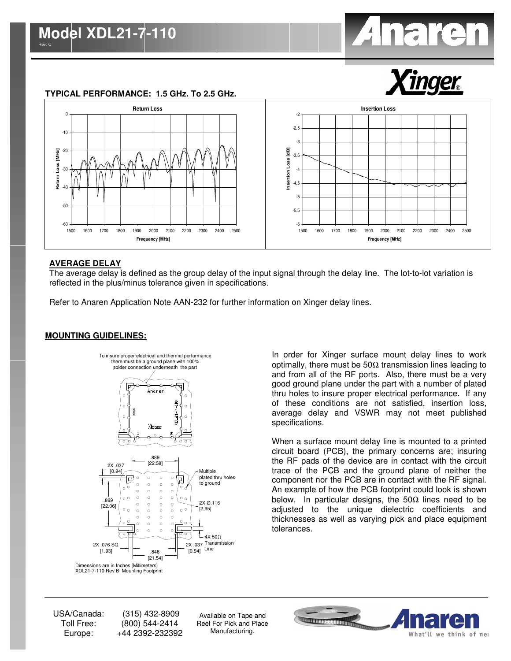





#### **AVERAGE DELAY**

The average delay is defined as the group delay of the input signal through the delay line. The lot-to-lot variation is reflected in the plus/minus tolerance given in specifications.

Refer to Anaren Application Note AAN-232 for further information on Xinger delay lines.

#### **MOUNTING GUIDELINES:**



In order for Xinger surface mount delay lines to work optimally, there must be  $50\Omega$  transmission lines leading to and from all of the RF ports. Also, there must be a very good ground plane under the part with a number of plated thru holes to insure proper electrical performance. If any of these conditions are not satisfied, insertion loss, average delay and VSWR may not meet published specifications.

When a surface mount delay line is mounted to a printed circuit board (PCB), the primary concerns are; insuring the RF pads of the device are in contact with the circuit trace of the PCB and the ground plane of neither the component nor the PCB are in contact with the RF signal. An example of how the PCB footprint could look is shown below. In particular designs, the  $50\Omega$  lines need to be adjusted to the unique dielectric coefficients and thicknesses as well as varying pick and place equipment tolerances.

USA/Canada: Toll Free: Europe:

(315) 432-8909 (800) 544-2414 +44 2392-232392

Available on Tape and Reel For Pick and Place Manufacturing.